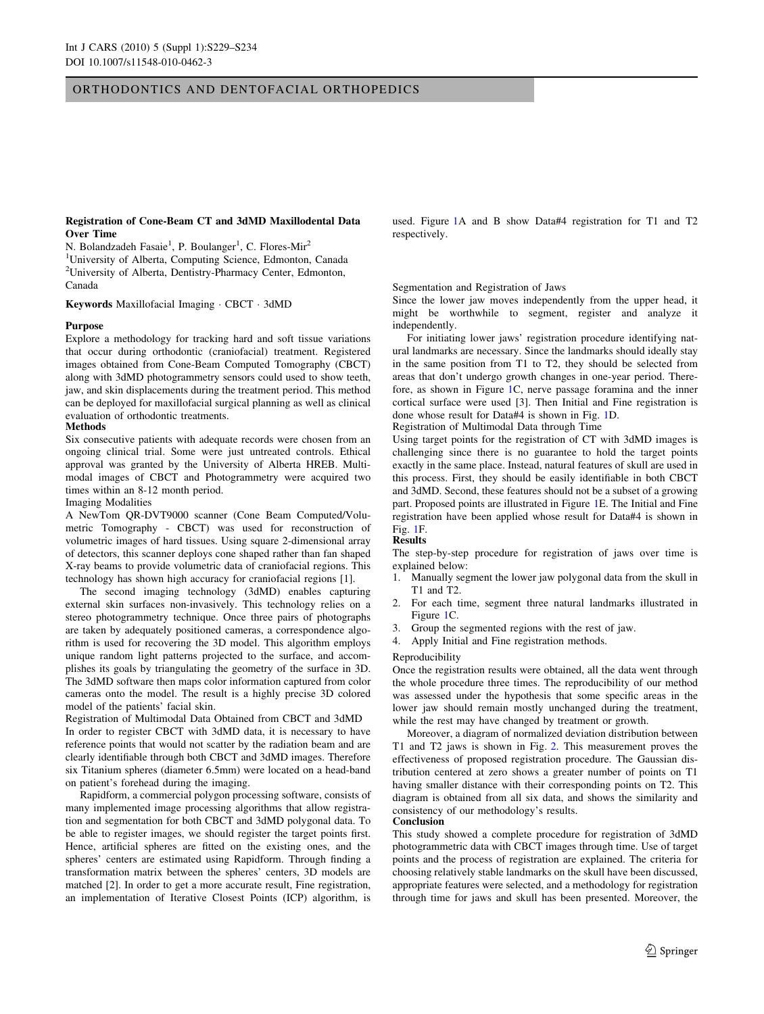# ORTHODONTICS AND DENTOFACIAL ORTHOPEDICS

## Registration of Cone-Beam CT and 3dMD Maxillodental Data Over Time

N. Bolandzadeh Fasaie<sup>1</sup>, P. Boulanger<sup>1</sup>, C. Flores-Mir<sup>2</sup> <sup>1</sup>University of Alberta, Computing Science, Edmonton, Canada <sup>2</sup>University of Alberta, Dentistry-Pharmacy Center, Edmonton, Canada

Keywords Maxillofacial Imaging - CBCT - 3dMD

## Purpose

Explore a methodology for tracking hard and soft tissue variations that occur during orthodontic (craniofacial) treatment. Registered images obtained from Cone-Beam Computed Tomography (CBCT) along with 3dMD photogrammetry sensors could used to show teeth, jaw, and skin displacements during the treatment period. This method can be deployed for maxillofacial surgical planning as well as clinical evaluation of orthodontic treatments.

# Methods

Six consecutive patients with adequate records were chosen from an ongoing clinical trial. Some were just untreated controls. Ethical approval was granted by the University of Alberta HREB. Multimodal images of CBCT and Photogrammetry were acquired two times within an 8-12 month period.

#### Imaging Modalities

A NewTom QR-DVT9000 scanner (Cone Beam Computed/Volumetric Tomography - CBCT) was used for reconstruction of volumetric images of hard tissues. Using square 2-dimensional array of detectors, this scanner deploys cone shaped rather than fan shaped X-ray beams to provide volumetric data of craniofacial regions. This technology has shown high accuracy for craniofacial regions [1].

The second imaging technology (3dMD) enables capturing external skin surfaces non-invasively. This technology relies on a stereo photogrammetry technique. Once three pairs of photographs are taken by adequately positioned cameras, a correspondence algorithm is used for recovering the 3D model. This algorithm employs unique random light patterns projected to the surface, and accomplishes its goals by triangulating the geometry of the surface in 3D. The 3dMD software then maps color information captured from color cameras onto the model. The result is a highly precise 3D colored model of the patients' facial skin.

Registration of Multimodal Data Obtained from CBCT and 3dMD In order to register CBCT with 3dMD data, it is necessary to have reference points that would not scatter by the radiation beam and are clearly identifiable through both CBCT and 3dMD images. Therefore six Titanium spheres (diameter 6.5mm) were located on a head-band on patient's forehead during the imaging.

Rapidform, a commercial polygon processing software, consists of many implemented image processing algorithms that allow registration and segmentation for both CBCT and 3dMD polygonal data. To be able to register images, we should register the target points first. Hence, artificial spheres are fitted on the existing ones, and the spheres' centers are estimated using Rapidform. Through finding a transformation matrix between the spheres' centers, 3D models are matched [2]. In order to get a more accurate result, Fine registration, an implementation of Iterative Closest Points (ICP) algorithm, is used. Figure [1A](#page-1-0) and B show Data#4 registration for T1 and T2 respectively.

## Segmentation and Registration of Jaws

Since the lower jaw moves independently from the upper head, it might be worthwhile to segment, register and analyze it independently.

For initiating lower jaws' registration procedure identifying natural landmarks are necessary. Since the landmarks should ideally stay in the same position from T1 to T2, they should be selected from areas that don't undergo growth changes in one-year period. Therefore, as shown in Figure [1](#page-1-0)C, nerve passage foramina and the inner cortical surface were used [3]. Then Initial and Fine registration is done whose result for Data#4 is shown in Fig. [1D](#page-1-0).

Registration of Multimodal Data through Time

Using target points for the registration of CT with 3dMD images is challenging since there is no guarantee to hold the target points exactly in the same place. Instead, natural features of skull are used in this process. First, they should be easily identifiable in both CBCT and 3dMD. Second, these features should not be a subset of a growing part. Proposed points are illustrated in Figure [1](#page-1-0)E. The Initial and Fine registration have been applied whose result for Data#4 is shown in Fig. [1F](#page-1-0).

## Results

The step-by-step procedure for registration of jaws over time is explained below:

- 1. Manually segment the lower jaw polygonal data from the skull in T1 and T2.
- 2. For each time, segment three natural landmarks illustrated in Figure [1](#page-1-0)C.
- 3. Group the segmented regions with the rest of jaw.
- 4. Apply Initial and Fine registration methods.

#### Reproducibility

Once the registration results were obtained, all the data went through the whole procedure three times. The reproducibility of our method was assessed under the hypothesis that some specific areas in the lower jaw should remain mostly unchanged during the treatment, while the rest may have changed by treatment or growth.

Moreover, a diagram of normalized deviation distribution between T1 and T2 jaws is shown in Fig. [2.](#page-1-0) This measurement proves the effectiveness of proposed registration procedure. The Gaussian distribution centered at zero shows a greater number of points on T1 having smaller distance with their corresponding points on T2. This diagram is obtained from all six data, and shows the similarity and consistency of our methodology's results. Conclusion

This study showed a complete procedure for registration of 3dMD photogrammetric data with CBCT images through time. Use of target points and the process of registration are explained. The criteria for choosing relatively stable landmarks on the skull have been discussed, appropriate features were selected, and a methodology for registration through time for jaws and skull has been presented. Moreover, the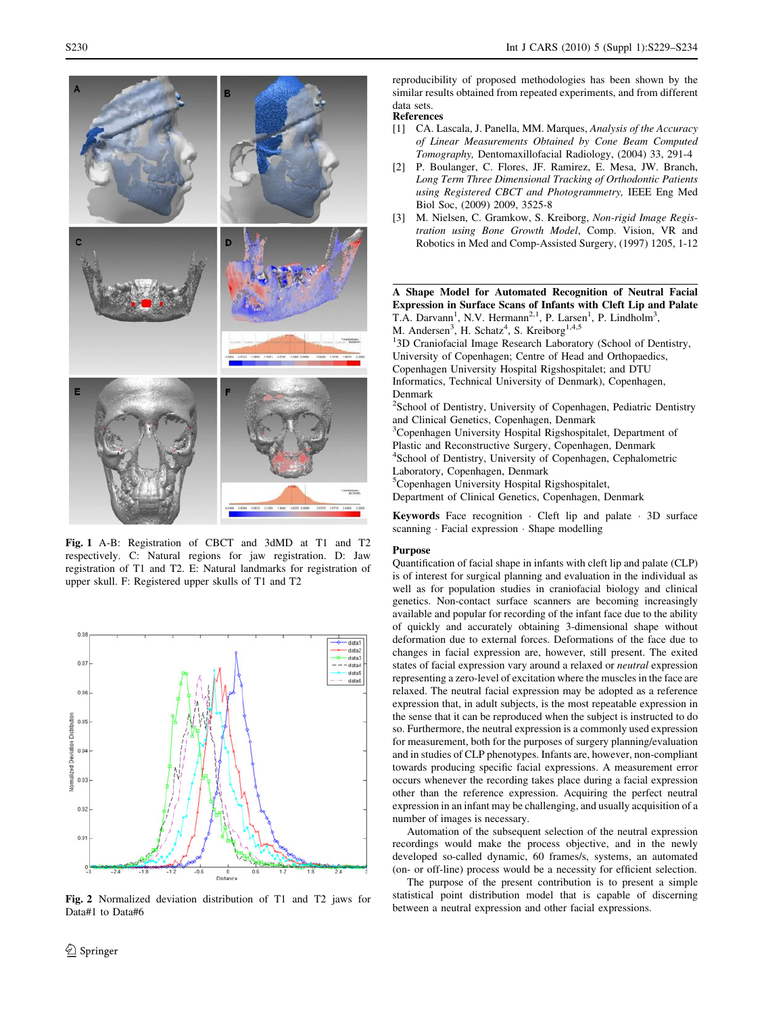<span id="page-1-0"></span>

Fig. 1 A-B: Registration of CBCT and 3dMD at T1 and T2 respectively. C: Natural regions for jaw registration. D: Jaw registration of T1 and T2. E: Natural landmarks for registration of upper skull. F: Registered upper skulls of T1 and T2



Fig. 2 Normalized deviation distribution of T1 and T2 jaws for Data#1 to Data#6

reproducibility of proposed methodologies has been shown by the similar results obtained from repeated experiments, and from different data sets.

#### References

- [1] CA. Lascala, J. Panella, MM. Marques, Analysis of the Accuracy of Linear Measurements Obtained by Cone Beam Computed Tomography, Dentomaxillofacial Radiology, (2004) 33, 291-4
- [2] P. Boulanger, C. Flores, JF. Ramirez, E. Mesa, JW. Branch, Long Term Three Dimensional Tracking of Orthodontic Patients using Registered CBCT and Photogrammetry, IEEE Eng Med Biol Soc, (2009) 2009, 3525-8
- [3] M. Nielsen, C. Gramkow, S. Kreiborg, Non-rigid Image Registration using Bone Growth Model, Comp. Vision, VR and Robotics in Med and Comp-Assisted Surgery, (1997) 1205, 1-12

A Shape Model for Automated Recognition of Neutral Facial Expression in Surface Scans of Infants with Cleft Lip and Palate T.A. Darvann<sup>1</sup>, N.V. Hermann<sup>2,1</sup>, P. Larsen<sup>1</sup>, P. Lindholm<sup>3</sup>, M. Andersen<sup>3</sup>, H. Schatz<sup>4</sup>, S. Kreiborg<sup>1,4,5</sup>

<sup>1</sup>3D Craniofacial Image Research Laboratory (School of Dentistry, University of Copenhagen; Centre of Head and Orthopaedics, Copenhagen University Hospital Rigshospitalet; and DTU Informatics, Technical University of Denmark), Copenhagen, Denmark 2 School of Dentistry, University of Copenhagen, Pediatric Dentistry

and Clinical Genetics, Copenhagen, Denmark 3 Copenhagen University Hospital Rigshospitalet, Department of Plastic and Reconstructive Surgery, Copenhagen, Denmark 4 School of Dentistry, University of Copenhagen, Cephalometric Laboratory, Copenhagen, Denmark 5 Copenhagen University Hospital Rigshospitalet, Department of Clinical Genetics, Copenhagen, Denmark

**Keywords** Face recognition  $\cdot$  Cleft lip and palate  $\cdot$  3D surface scanning - Facial expression - Shape modelling

# Purpose

Quantification of facial shape in infants with cleft lip and palate (CLP) is of interest for surgical planning and evaluation in the individual as well as for population studies in craniofacial biology and clinical genetics. Non-contact surface scanners are becoming increasingly available and popular for recording of the infant face due to the ability of quickly and accurately obtaining 3-dimensional shape without deformation due to external forces. Deformations of the face due to changes in facial expression are, however, still present. The exited states of facial expression vary around a relaxed or neutral expression representing a zero-level of excitation where the muscles in the face are relaxed. The neutral facial expression may be adopted as a reference expression that, in adult subjects, is the most repeatable expression in the sense that it can be reproduced when the subject is instructed to do so. Furthermore, the neutral expression is a commonly used expression for measurement, both for the purposes of surgery planning/evaluation and in studies of CLP phenotypes. Infants are, however, non-compliant towards producing specific facial expressions. A measurement error occurs whenever the recording takes place during a facial expression other than the reference expression. Acquiring the perfect neutral expression in an infant may be challenging, and usually acquisition of a number of images is necessary.

Automation of the subsequent selection of the neutral expression recordings would make the process objective, and in the newly developed so-called dynamic, 60 frames/s, systems, an automated (on- or off-line) process would be a necessity for efficient selection.

The purpose of the present contribution is to present a simple statistical point distribution model that is capable of discerning between a neutral expression and other facial expressions.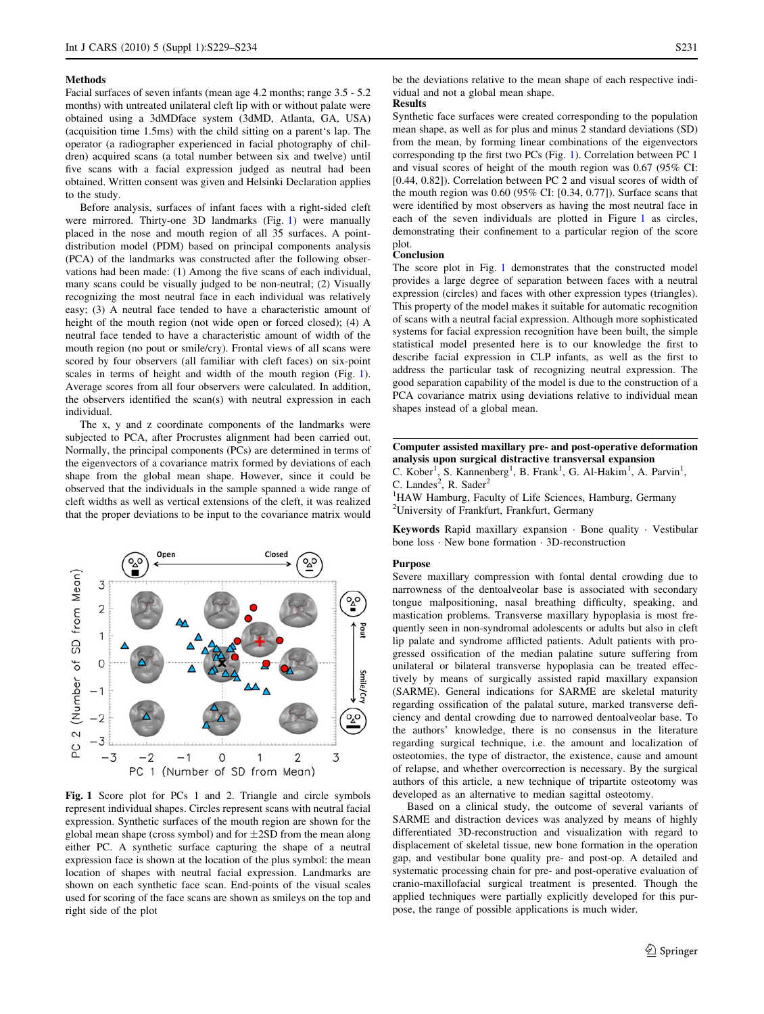#### Methods

Facial surfaces of seven infants (mean age 4.2 months; range 3.5 - 5.2 months) with untreated unilateral cleft lip with or without palate were obtained using a 3dMDface system (3dMD, Atlanta, GA, USA) (acquisition time 1.5ms) with the child sitting on a parent's lap. The operator (a radiographer experienced in facial photography of children) acquired scans (a total number between six and twelve) until five scans with a facial expression judged as neutral had been obtained. Written consent was given and Helsinki Declaration applies to the study.

Before analysis, surfaces of infant faces with a right-sided cleft were mirrored. Thirty-one 3D landmarks (Fig. 1) were manually placed in the nose and mouth region of all 35 surfaces. A pointdistribution model (PDM) based on principal components analysis (PCA) of the landmarks was constructed after the following observations had been made: (1) Among the five scans of each individual, many scans could be visually judged to be non-neutral; (2) Visually recognizing the most neutral face in each individual was relatively easy; (3) A neutral face tended to have a characteristic amount of height of the mouth region (not wide open or forced closed); (4) A neutral face tended to have a characteristic amount of width of the mouth region (no pout or smile/cry). Frontal views of all scans were scored by four observers (all familiar with cleft faces) on six-point scales in terms of height and width of the mouth region (Fig. 1). Average scores from all four observers were calculated. In addition, the observers identified the scan(s) with neutral expression in each individual.

The x, y and z coordinate components of the landmarks were subjected to PCA, after Procrustes alignment had been carried out. Normally, the principal components (PCs) are determined in terms of the eigenvectors of a covariance matrix formed by deviations of each shape from the global mean shape. However, since it could be observed that the individuals in the sample spanned a wide range of cleft widths as well as vertical extensions of the cleft, it was realized that the proper deviations to be input to the covariance matrix would



Fig. 1 Score plot for PCs 1 and 2. Triangle and circle symbols represent individual shapes. Circles represent scans with neutral facial expression. Synthetic surfaces of the mouth region are shown for the global mean shape (cross symbol) and for  $\pm$ 2SD from the mean along either PC. A synthetic surface capturing the shape of a neutral expression face is shown at the location of the plus symbol: the mean location of shapes with neutral facial expression. Landmarks are shown on each synthetic face scan. End-points of the visual scales used for scoring of the face scans are shown as smileys on the top and right side of the plot

be the deviations relative to the mean shape of each respective individual and not a global mean shape.

## Results

Synthetic face surfaces were created corresponding to the population mean shape, as well as for plus and minus 2 standard deviations (SD) from the mean, by forming linear combinations of the eigenvectors corresponding tp the first two PCs (Fig. 1). Correlation between PC 1 and visual scores of height of the mouth region was 0.67 (95% CI: [0.44, 0.82]). Correlation between PC 2 and visual scores of width of the mouth region was 0.60 (95% CI: [0.34, 0.77]). Surface scans that were identified by most observers as having the most neutral face in each of the seven individuals are plotted in Figure 1 as circles, demonstrating their confinement to a particular region of the score plot.

#### Conclusion

The score plot in Fig. 1 demonstrates that the constructed model provides a large degree of separation between faces with a neutral expression (circles) and faces with other expression types (triangles). This property of the model makes it suitable for automatic recognition of scans with a neutral facial expression. Although more sophisticated systems for facial expression recognition have been built, the simple statistical model presented here is to our knowledge the first to describe facial expression in CLP infants, as well as the first to address the particular task of recognizing neutral expression. The good separation capability of the model is due to the construction of a PCA covariance matrix using deviations relative to individual mean shapes instead of a global mean.

Computer assisted maxillary pre- and post-operative deformation analysis upon surgical distractive transversal expansion C. Kober<sup>1</sup>, S. Kannenberg<sup>1</sup>, B. Frank<sup>1</sup>, G. Al-Hakim<sup>1</sup>, A. Parvin<sup>1</sup>,

C. Landes<sup>2</sup>, R. Sader<sup>2</sup>

<sup>1</sup>HAW Hamburg, Faculty of Life Sciences, Hamburg, Germany 2 University of Frankfurt, Frankfurt, Germany

Keywords Rapid maxillary expansion - Bone quality - Vestibular bone loss - New bone formation - 3D-reconstruction

## Purpose

Severe maxillary compression with fontal dental crowding due to narrowness of the dentoalveolar base is associated with secondary tongue malpositioning, nasal breathing difficulty, speaking, and mastication problems. Transverse maxillary hypoplasia is most frequently seen in non-syndromal adolescents or adults but also in cleft lip palate and syndrome afflicted patients. Adult patients with progressed ossification of the median palatine suture suffering from unilateral or bilateral transverse hypoplasia can be treated effectively by means of surgically assisted rapid maxillary expansion (SARME). General indications for SARME are skeletal maturity regarding ossification of the palatal suture, marked transverse deficiency and dental crowding due to narrowed dentoalveolar base. To the authors' knowledge, there is no consensus in the literature regarding surgical technique, i.e. the amount and localization of osteotomies, the type of distractor, the existence, cause and amount of relapse, and whether overcorrection is necessary. By the surgical authors of this article, a new technique of tripartite osteotomy was developed as an alternative to median sagittal osteotomy.

Based on a clinical study, the outcome of several variants of SARME and distraction devices was analyzed by means of highly differentiated 3D-reconstruction and visualization with regard to displacement of skeletal tissue, new bone formation in the operation gap, and vestibular bone quality pre- and post-op. A detailed and systematic processing chain for pre- and post-operative evaluation of cranio-maxillofacial surgical treatment is presented. Though the applied techniques were partially explicitly developed for this purpose, the range of possible applications is much wider.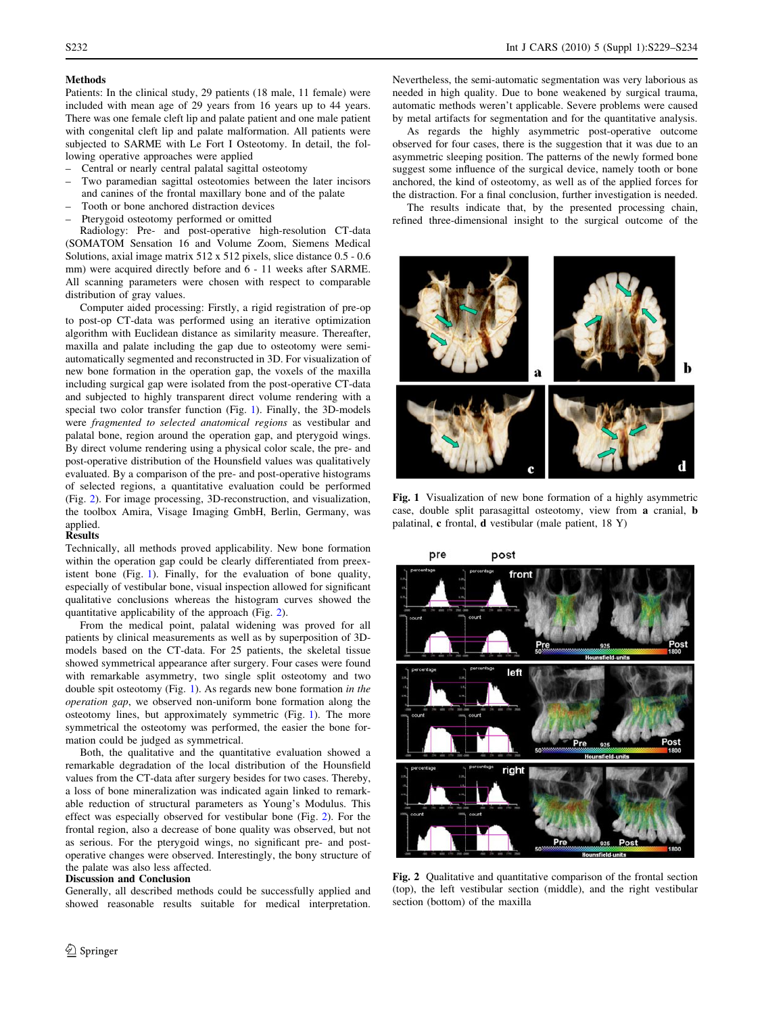# S232 Int J CARS (2010) 5 (Suppl 1):S229–S234

## Methods

Patients: In the clinical study, 29 patients (18 male, 11 female) were included with mean age of 29 years from 16 years up to 44 years. There was one female cleft lip and palate patient and one male patient with congenital cleft lip and palate malformation. All patients were subjected to SARME with Le Fort I Osteotomy. In detail, the following operative approaches were applied

- Central or nearly central palatal sagittal osteotomy
- Two paramedian sagittal osteotomies between the later incisors and canines of the frontal maxillary bone and of the palate
- Tooth or bone anchored distraction devices
- Pterygoid osteotomy performed or omitted

Radiology: Pre- and post-operative high-resolution CT-data (SOMATOM Sensation 16 and Volume Zoom, Siemens Medical Solutions, axial image matrix 512 x 512 pixels, slice distance 0.5 - 0.6 mm) were acquired directly before and 6 - 11 weeks after SARME. All scanning parameters were chosen with respect to comparable distribution of gray values.

Computer aided processing: Firstly, a rigid registration of pre-op to post-op CT-data was performed using an iterative optimization algorithm with Euclidean distance as similarity measure. Thereafter, maxilla and palate including the gap due to osteotomy were semiautomatically segmented and reconstructed in 3D. For visualization of new bone formation in the operation gap, the voxels of the maxilla including surgical gap were isolated from the post-operative CT-data and subjected to highly transparent direct volume rendering with a special two color transfer function (Fig. 1). Finally, the 3D-models were fragmented to selected anatomical regions as vestibular and palatal bone, region around the operation gap, and pterygoid wings. By direct volume rendering using a physical color scale, the pre- and post-operative distribution of the Hounsfield values was qualitatively evaluated. By a comparison of the pre- and post-operative histograms of selected regions, a quantitative evaluation could be performed (Fig. 2). For image processing, 3D-reconstruction, and visualization, the toolbox Amira, Visage Imaging GmbH, Berlin, Germany, was applied.

#### Results

Technically, all methods proved applicability. New bone formation within the operation gap could be clearly differentiated from preexistent bone (Fig. 1). Finally, for the evaluation of bone quality, especially of vestibular bone, visual inspection allowed for significant qualitative conclusions whereas the histogram curves showed the quantitative applicability of the approach (Fig. 2).

From the medical point, palatal widening was proved for all patients by clinical measurements as well as by superposition of 3Dmodels based on the CT-data. For 25 patients, the skeletal tissue showed symmetrical appearance after surgery. Four cases were found with remarkable asymmetry, two single split osteotomy and two double spit osteotomy (Fig. 1). As regards new bone formation in the operation gap, we observed non-uniform bone formation along the osteotomy lines, but approximately symmetric (Fig. 1). The more symmetrical the osteotomy was performed, the easier the bone formation could be judged as symmetrical.

Both, the qualitative and the quantitative evaluation showed a remarkable degradation of the local distribution of the Hounsfield values from the CT-data after surgery besides for two cases. Thereby, a loss of bone mineralization was indicated again linked to remarkable reduction of structural parameters as Young's Modulus. This effect was especially observed for vestibular bone (Fig. 2). For the frontal region, also a decrease of bone quality was observed, but not as serious. For the pterygoid wings, no significant pre- and postoperative changes were observed. Interestingly, the bony structure of the palate was also less affected.

#### Discussion and Conclusion

Generally, all described methods could be successfully applied and showed reasonable results suitable for medical interpretation.

Nevertheless, the semi-automatic segmentation was very laborious as needed in high quality. Due to bone weakened by surgical trauma, automatic methods weren't applicable. Severe problems were caused by metal artifacts for segmentation and for the quantitative analysis.

As regards the highly asymmetric post-operative outcome observed for four cases, there is the suggestion that it was due to an asymmetric sleeping position. The patterns of the newly formed bone suggest some influence of the surgical device, namely tooth or bone anchored, the kind of osteotomy, as well as of the applied forces for the distraction. For a final conclusion, further investigation is needed.

The results indicate that, by the presented processing chain, refined three-dimensional insight to the surgical outcome of the



Fig. 1 Visualization of new bone formation of a highly asymmetric case, double split parasagittal osteotomy, view from a cranial, b palatinal, c frontal, d vestibular (male patient, 18 Y)



Fig. 2 Qualitative and quantitative comparison of the frontal section (top), the left vestibular section (middle), and the right vestibular section (bottom) of the maxilla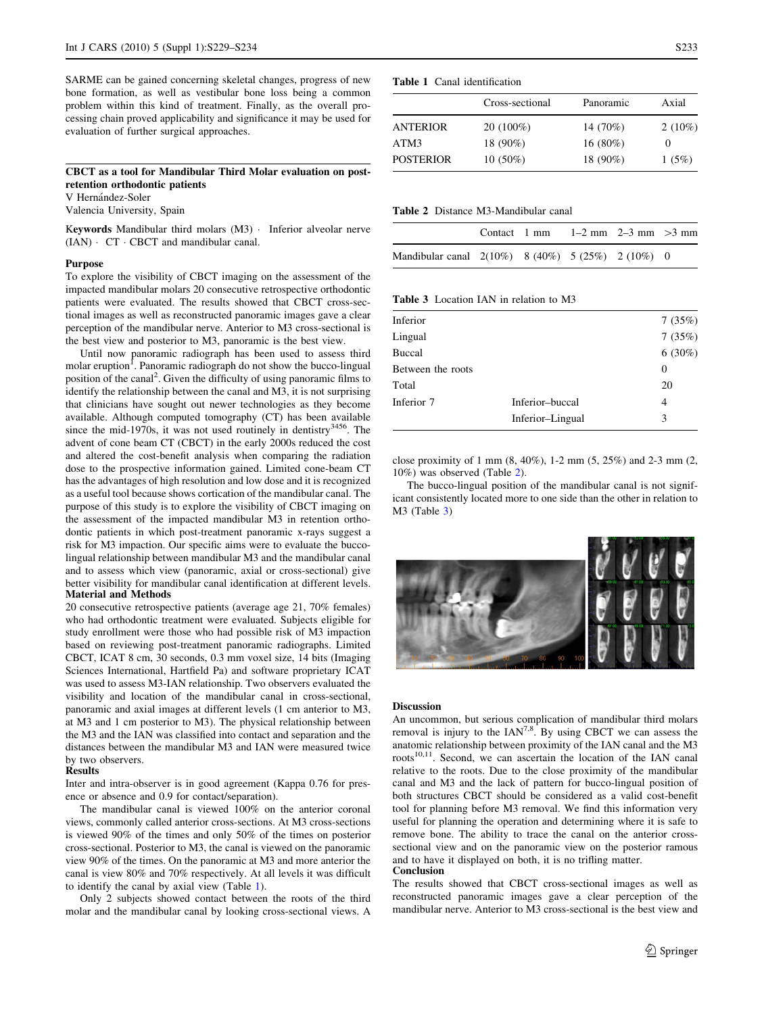SARME can be gained concerning skeletal changes, progress of new bone formation, as well as vestibular bone loss being a common problem within this kind of treatment. Finally, as the overall processing chain proved applicability and significance it may be used for evaluation of further surgical approaches.

# CBCT as a tool for Mandibular Third Molar evaluation on postretention orthodontic patients

V Hernández-Soler

Valencia University, Spain

Keywords Mandibular third molars (M3) · Inferior alveolar nerve  $(IAN) \cdot CT \cdot CBCT$  and mandibular canal.

### Purpose

To explore the visibility of CBCT imaging on the assessment of the impacted mandibular molars 20 consecutive retrospective orthodontic patients were evaluated. The results showed that CBCT cross-sectional images as well as reconstructed panoramic images gave a clear perception of the mandibular nerve. Anterior to M3 cross-sectional is the best view and posterior to M3, panoramic is the best view.

Until now panoramic radiograph has been used to assess third molar eruption<sup>1</sup>. Panoramic radiograph do not show the bucco-lingual position of the canal<sup>2</sup>. Given the difficulty of using panoramic films to identify the relationship between the canal and M3, it is not surprising that clinicians have sought out newer technologies as they become available. Although computed tomography (CT) has been available since the mid-1970s, it was not used routinely in dentistry $3456$ . The advent of cone beam CT (CBCT) in the early 2000s reduced the cost and altered the cost-benefit analysis when comparing the radiation dose to the prospective information gained. Limited cone-beam CT has the advantages of high resolution and low dose and it is recognized as a useful tool because shows cortication of the mandibular canal. The purpose of this study is to explore the visibility of CBCT imaging on the assessment of the impacted mandibular M3 in retention orthodontic patients in which post-treatment panoramic x-rays suggest a risk for M3 impaction. Our specific aims were to evaluate the buccolingual relationship between mandibular M3 and the mandibular canal and to assess which view (panoramic, axial or cross-sectional) give better visibility for mandibular canal identification at different levels. Material and Methods

20 consecutive retrospective patients (average age 21, 70% females) who had orthodontic treatment were evaluated. Subjects eligible for study enrollment were those who had possible risk of M3 impaction based on reviewing post-treatment panoramic radiographs. Limited CBCT, ICAT 8 cm, 30 seconds, 0.3 mm voxel size, 14 bits (Imaging Sciences International, Hartfield Pa) and software proprietary ICAT was used to assess M3-IAN relationship. Two observers evaluated the visibility and location of the mandibular canal in cross-sectional, panoramic and axial images at different levels (1 cm anterior to M3, at M3 and 1 cm posterior to M3). The physical relationship between the M3 and the IAN was classified into contact and separation and the distances between the mandibular M3 and IAN were measured twice by two observers

#### **Results**

Inter and intra-observer is in good agreement (Kappa 0.76 for presence or absence and 0.9 for contact/separation).

The mandibular canal is viewed 100% on the anterior coronal views, commonly called anterior cross-sections. At M3 cross-sections is viewed 90% of the times and only 50% of the times on posterior cross-sectional. Posterior to M3, the canal is viewed on the panoramic view 90% of the times. On the panoramic at M3 and more anterior the canal is view 80% and 70% respectively. At all levels it was difficult to identify the canal by axial view (Table 1).

Only 2 subjects showed contact between the roots of the third molar and the mandibular canal by looking cross-sectional views. A



|                  | Cross-sectional | Panoramic  | Axial     |
|------------------|-----------------|------------|-----------|
| ANTERIOR         | $20(100\%)$     | 14 (70%)   | $2(10\%)$ |
| ATM3             | 18 (90%)        | $16(80\%)$ | $\theta$  |
| <b>POSTERIOR</b> | $10(50\%)$      | 18 (90%)   | 1(5%)     |

#### Table 2 Distance M3-Mandibular canal

|                                                      | Contact 1 mm |  | $1-2$ mm $2-3$ mm $>3$ mm |  |
|------------------------------------------------------|--------------|--|---------------------------|--|
| Mandibular canal $2(10\%)$ 8 (40%) 5 (25%) 2 (10%) 0 |              |  |                           |  |

Table 3 Location IAN in relation to M<sup>3</sup>

| Inferior          |                  | 7(35%)    |
|-------------------|------------------|-----------|
| Lingual           |                  | 7(35%)    |
| <b>Buccal</b>     |                  | $6(30\%)$ |
| Between the roots |                  | 0         |
| Total             |                  | 20        |
| Inferior 7        | Inferior-buccal  | 4         |
|                   | Inferior-Lingual | 3         |
|                   |                  |           |

close proximity of 1 mm (8, 40%), 1-2 mm (5, 25%) and 2-3 mm (2, 10%) was observed (Table 2).

The bucco-lingual position of the mandibular canal is not significant consistently located more to one side than the other in relation to M3 (Table 3)



# Discussion

An uncommon, but serious complication of mandibular third molars removal is injury to the  $IAN^{7,8}$ . By using CBCT we can assess the anatomic relationship between proximity of the IAN canal and the M3 roots $10,11$ . Second, we can ascertain the location of the IAN canal relative to the roots. Due to the close proximity of the mandibular canal and M3 and the lack of pattern for bucco-lingual position of both structures CBCT should be considered as a valid cost-benefit tool for planning before M3 removal. We find this information very useful for planning the operation and determining where it is safe to remove bone. The ability to trace the canal on the anterior crosssectional view and on the panoramic view on the posterior ramous and to have it displayed on both, it is no trifling matter. Conclusion

The results showed that CBCT cross-sectional images as well as reconstructed panoramic images gave a clear perception of the mandibular nerve. Anterior to M3 cross-sectional is the best view and